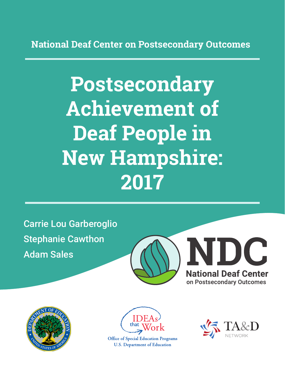**National Deaf Center on Postsecondary Outcomes**

# **Postsecondary Achievement of Deaf People in New Hampshire: 2017**

Carrie Lou Garberoglio Stephanie Cawthon Adam Sales







**Office of Special Education Programs U.S. Department of Education** 

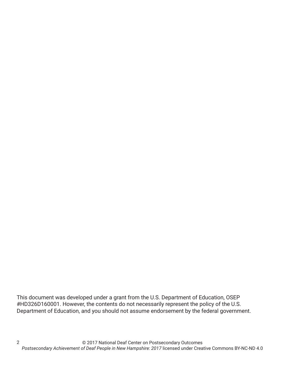This document was developed under a grant from the U.S. Department of Education, OSEP #HD326D160001. However, the contents do not necessarily represent the policy of the U.S. Department of Education, and you should not assume endorsement by the federal government.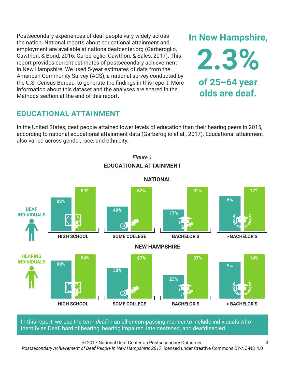Postsecondary experiences of deaf people vary widely across the nation. National reports about educational attainment and employment are available at nationaldeafcenter.org (Garberoglio, Cawthon, & Bond, 2016; Garberoglio, Cawthon, & Sales, 2017). This report provides current estimates of postsecondary achievement in New Hampshire. We used 5-year estimates of data from the American Community Survey (ACS), a national survey conducted by the U.S. Census Bureau, to generate the findings in this report. More information about this dataset and the analyses are shared in the Methods section at the end of this report.

## **EDUCATIONAL ATTAINMENT**

In the United States, deaf people attained lower levels of education than their hearing peers in 2015, according to national educational attainment data (Garberoglio et al., 2017). Educational attainment also varied across gender, race, and ethnicity.



In this report, we use the term *deaf* in an all-encompassing manner to include individuals who identify as Deaf, hard of hearing, hearing impaired, late deafened, and deafdisabled.

© 2017 National Deaf Center on Postsecondary Outcomes

*Postsecondary Achievement of Deaf People in New Hampshire: 2017* licensed under Creative Commons BY-NC-ND 4.0

3

**2.3% of 25–64 year olds are deaf.**

**In New Hampshire,**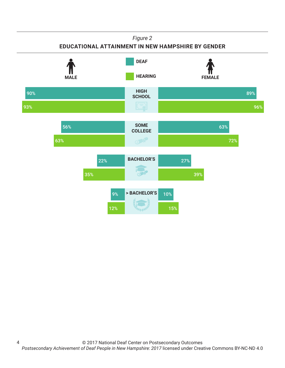### *Figure 2*

## **EDUCATIONAL ATTAINMENT IN NEW HAMPSHIRE BY GENDER**

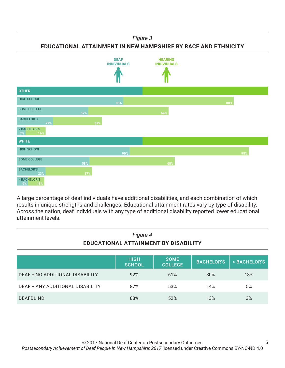*Figure 3*

**EDUCATIONAL ATTAINMENT IN NEW HAMPSHIRE BY RACE AND ETHNICITY**



A large percentage of deaf individuals have additional disabilities, and each combination of which results in unique strengths and challenges. Educational attainment rates vary by type of disability. Across the nation, deaf individuals with any type of additional disability reported lower educational attainment levels.

| Figure 4<br>EDUCATIONAL ATTAINMENT BY DISABILITY |                              |                               |                   |              |
|--------------------------------------------------|------------------------------|-------------------------------|-------------------|--------------|
|                                                  | <b>HIGH</b><br><b>SCHOOL</b> | <b>SOME</b><br><b>COLLEGE</b> | <b>BACHELOR'S</b> | > BACHELOR'S |
| DEAF + NO ADDITIONAL DISABILITY                  | 92%                          | 61%                           | 30%               | 13%          |
| DEAF + ANY ADDITIONAL DISABILITY                 | 87%                          | 53%                           | 14%               | 5%           |
| <b>DEAFBLIND</b>                                 | 88%                          | 52%                           | 13%               | 3%           |

5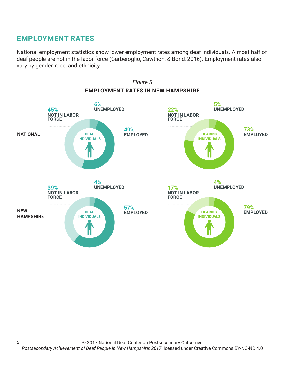# **EMPLOYMENT RATES**

National employment statistics show lower employment rates among deaf individuals. Almost half of deaf people are not in the labor force (Garberoglio, Cawthon, & Bond, 2016). Employment rates also vary by gender, race, and ethnicity.

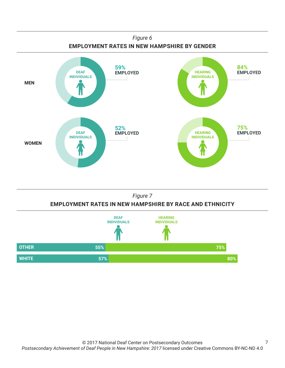





7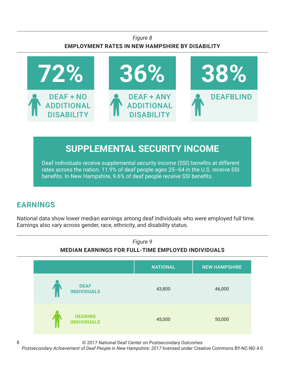## *Figure 8* **EMPLOYMENT RATES IN NEW HAMPSHIRE BY DISABILITY**



# **SUPPLEMENTAL SECURITY INCOME**

Deaf individuals receive supplemental security income (SSI) benefits at different rates across the nation. 11.9% of deaf people ages 25–64 in the U.S. receive SSI benefits. In New Hampshire, 9.6% of deaf people receive SSI benefits.

# **EARNINGS**

8

National data show lower median earnings among deaf individuals who were employed full time. Earnings also vary across gender, race, ethnicity, and disability status.



© 2017 National Deaf Center on Postsecondary Outcomes

*Postsecondary Achievement of Deaf People in New Hampshire: 2017* licensed under Creative Commons BY-NC-ND 4.0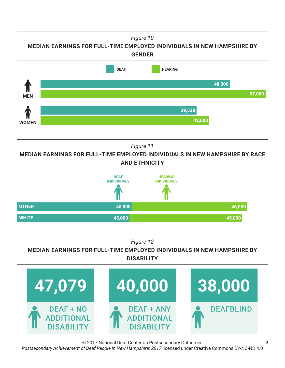*Figure 10*

**MEDIAN EARNINGS FOR FULL-TIME EMPLOYED INDIVIDUALS IN NEW HAMPSHIRE BY GENDER**



*Figure 11*

**MEDIAN EARNINGS FOR FULL-TIME EMPLOYED INDIVIDUALS IN NEW HAMPSHIRE BY RACE AND ETHNICITY**



*Figure 12*

**MEDIAN EARNINGS FOR FULL-TIME EMPLOYED INDIVIDUALS IN NEW HAMPSHIRE BY DISABILITY**



© 2017 National Deaf Center on Postsecondary Outcomes

*Postsecondary Achievement of Deaf People in New Hampshire: 2017* licensed under Creative Commons BY-NC-ND 4.0